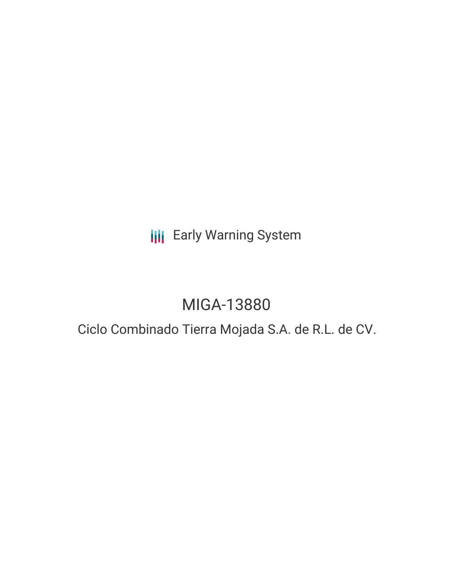# **III** Early Warning System

# MIGA-13880

## Ciclo Combinado Tierra Mojada S.A. de R.L. de CV.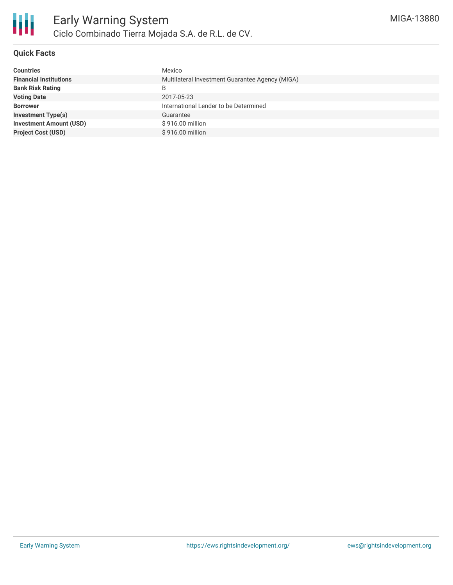

#### **Quick Facts**

| <b>Countries</b>               | Mexico                                          |
|--------------------------------|-------------------------------------------------|
| <b>Financial Institutions</b>  | Multilateral Investment Guarantee Agency (MIGA) |
| <b>Bank Risk Rating</b>        | B                                               |
| <b>Voting Date</b>             | 2017-05-23                                      |
| <b>Borrower</b>                | International Lender to be Determined           |
| <b>Investment Type(s)</b>      | Guarantee                                       |
| <b>Investment Amount (USD)</b> | \$916.00 million                                |
| <b>Project Cost (USD)</b>      | \$916.00 million                                |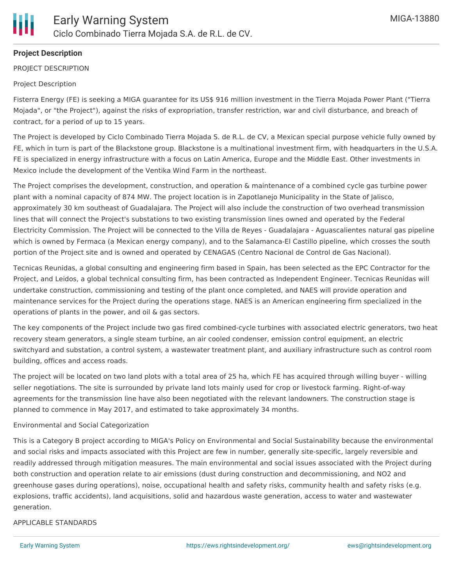

#### **Project Description**

PROJECT DESCRIPTION

#### Project Description

Fisterra Energy (FE) is seeking a MIGA guarantee for its US\$ 916 million investment in the Tierra Mojada Power Plant ("Tierra Mojada", or "the Project"), against the risks of expropriation, transfer restriction, war and civil disturbance, and breach of contract, for a period of up to 15 years.

The Project is developed by Ciclo Combinado Tierra Mojada S. de R.L. de CV, a Mexican special purpose vehicle fully owned by FE, which in turn is part of the Blackstone group. Blackstone is a multinational investment firm, with headquarters in the U.S.A. FE is specialized in energy infrastructure with a focus on Latin America, Europe and the Middle East. Other investments in Mexico include the development of the Ventika Wind Farm in the northeast.

The Project comprises the development, construction, and operation & maintenance of a combined cycle gas turbine power plant with a nominal capacity of 874 MW. The project location is in Zapotlanejo Municipality in the State of Jalisco, approximately 30 km southeast of Guadalajara. The Project will also include the construction of two overhead transmission lines that will connect the Project's substations to two existing transmission lines owned and operated by the Federal Electricity Commission. The Project will be connected to the Villa de Reyes - Guadalajara - Aguascalientes natural gas pipeline which is owned by Fermaca (a Mexican energy company), and to the Salamanca-El Castillo pipeline, which crosses the south portion of the Project site and is owned and operated by CENAGAS (Centro Nacional de Control de Gas Nacional).

Tecnicas Reunidas, a global consulting and engineering firm based in Spain, has been selected as the EPC Contractor for the Project, and Leidos, a global technical consulting firm, has been contracted as Independent Engineer. Tecnicas Reunidas will undertake construction, commissioning and testing of the plant once completed, and NAES will provide operation and maintenance services for the Project during the operations stage. NAES is an American engineering firm specialized in the operations of plants in the power, and oil & gas sectors.

The key components of the Project include two gas fired combined-cycle turbines with associated electric generators, two heat recovery steam generators, a single steam turbine, an air cooled condenser, emission control equipment, an electric switchyard and substation, a control system, a wastewater treatment plant, and auxiliary infrastructure such as control room building, offices and access roads.

The project will be located on two land plots with a total area of 25 ha, which FE has acquired through willing buyer - willing seller negotiations. The site is surrounded by private land lots mainly used for crop or livestock farming. Right-of-way agreements for the transmission line have also been negotiated with the relevant landowners. The construction stage is planned to commence in May 2017, and estimated to take approximately 34 months.

#### Environmental and Social Categorization

This is a Category B project according to MIGA's Policy on Environmental and Social Sustainability because the environmental and social risks and impacts associated with this Project are few in number, generally site-specific, largely reversible and readily addressed through mitigation measures. The main environmental and social issues associated with the Project during both construction and operation relate to air emissions (dust during construction and decommissioning, and NO2 and greenhouse gases during operations), noise, occupational health and safety risks, community health and safety risks (e.g. explosions, traffic accidents), land acquisitions, solid and hazardous waste generation, access to water and wastewater generation.

#### APPLICABLE STANDARDS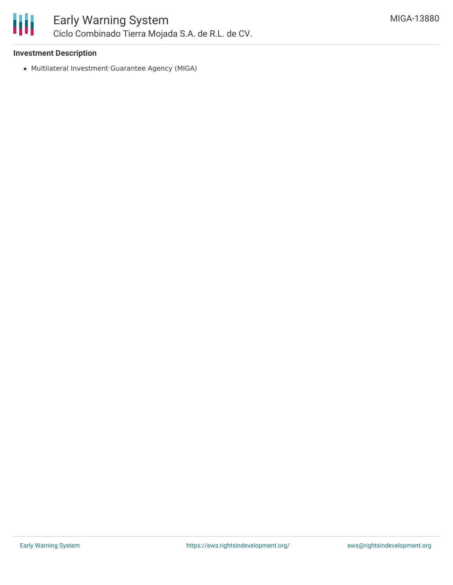

## Early Warning System Ciclo Combinado Tierra Mojada S.A. de R.L. de CV.

#### **Investment Description**

Multilateral Investment Guarantee Agency (MIGA)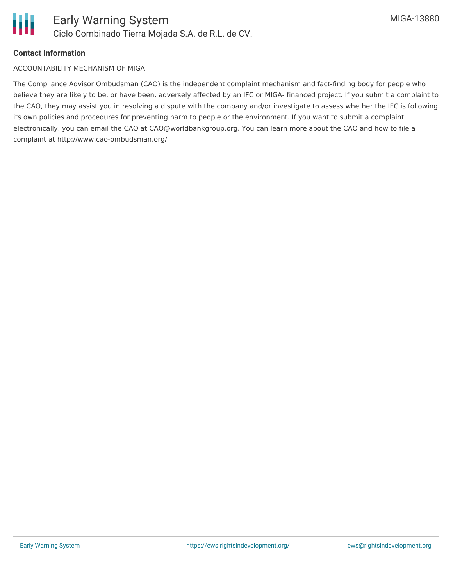

#### **Contact Information**

#### ACCOUNTABILITY MECHANISM OF MIGA

The Compliance Advisor Ombudsman (CAO) is the independent complaint mechanism and fact-finding body for people who believe they are likely to be, or have been, adversely affected by an IFC or MIGA- financed project. If you submit a complaint to the CAO, they may assist you in resolving a dispute with the company and/or investigate to assess whether the IFC is following its own policies and procedures for preventing harm to people or the environment. If you want to submit a complaint electronically, you can email the CAO at CAO@worldbankgroup.org. You can learn more about the CAO and how to file a complaint at http://www.cao-ombudsman.org/